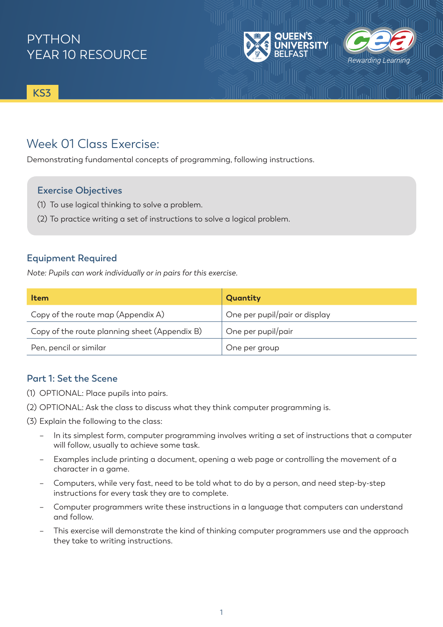### **PYTHON** YEAR 10 RESOURCE

**KS3**

#### Week 01 Class Exercise:

Demonstrating fundamental concepts of programming, following instructions.

#### **Exercise Objectives**

- (1) To use logical thinking to solve a problem.
- (2) To practice writing a set of instructions to solve a logical problem.

#### **Equipment Required**

*Note: Pupils can work individually or in pairs for this exercise.* 

| <b>Item</b>                                   | Quantity                      |
|-----------------------------------------------|-------------------------------|
| Copy of the route map (Appendix A)            | One per pupil/pair or display |
| Copy of the route planning sheet (Appendix B) | One per pupil/pair            |
| Pen, pencil or similar                        | One per group                 |

Rewarding Lea

#### **Part 1: Set the Scene**

- (1) OPTIONAL: Place pupils into pairs.
- (2) OPTIONAL: Ask the class to discuss what they think computer programming is.
- (3) Explain the following to the class:
	- In its simplest form, computer programming involves writing a set of instructions that a computer will follow, usually to achieve some task.
	- Examples include printing a document, opening a web page or controlling the movement of a character in a game.
	- Computers, while very fast, need to be told what to do by a person, and need step-by-step instructions for every task they are to complete.
	- Computer programmers write these instructions in a language that computers can understand and follow.
	- This exercise will demonstrate the kind of thinking computer programmers use and the approach they take to writing instructions.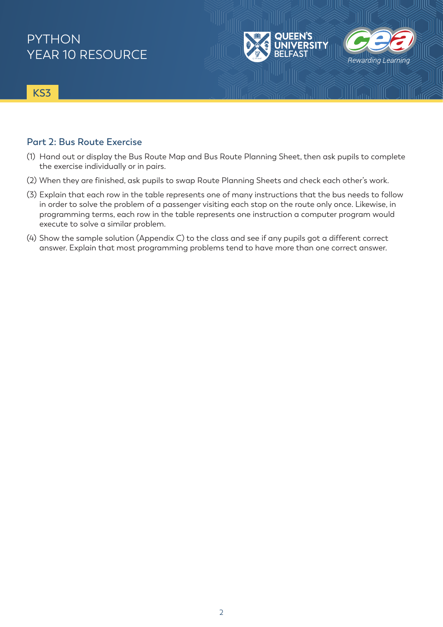### **PYTHON** YEAR 10 RESOURCE

**KS3**

#### **Part 2: Bus Route Exercise**

(1) Hand out or display the Bus Route Map and Bus Route Planning Sheet, then ask pupils to complete the exercise individually or in pairs.

Rewarding Learning

- (2) When they are finished, ask pupils to swap Route Planning Sheets and check each other's work.
- (3) Explain that each row in the table represents one of many instructions that the bus needs to follow in order to solve the problem of a passenger visiting each stop on the route only once. Likewise, in programming terms, each row in the table represents one instruction a computer program would execute to solve a similar problem.
- (4) Show the sample solution (Appendix C) to the class and see if any pupils got a different correct answer. Explain that most programming problems tend to have more than one correct answer.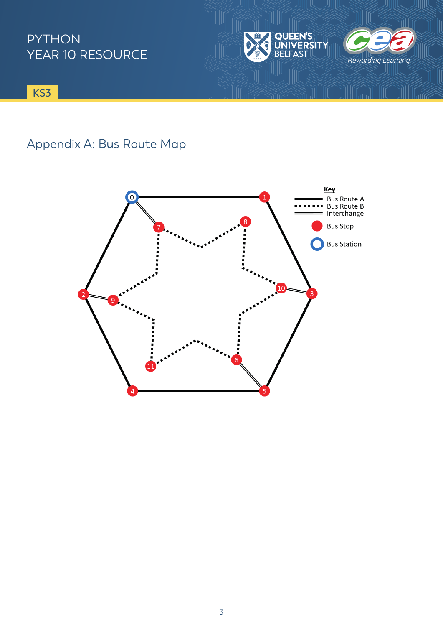### PYTHON YEAR 10 RESOURCE



**KS3**

## Appendix A: Bus Route Map

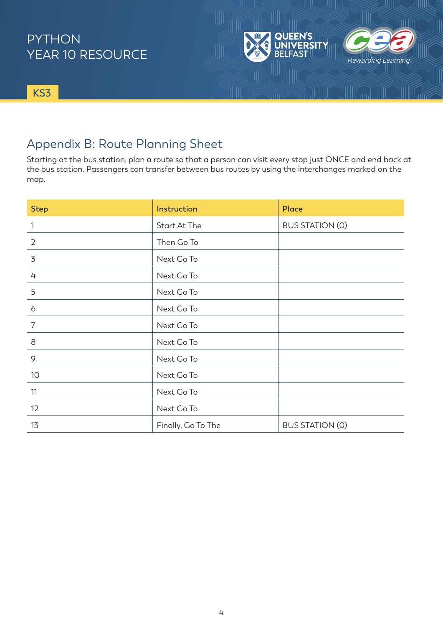### PYTHON YEAR 10 RESOURCE



**EEN'S** 

**ERSITY** 

Rewarding Learning

**KS3**

#### Appendix B: Route Planning Sheet

Starting at the bus station, plan a route so that a person can visit every stop just ONCE and end back at the bus station. Passengers can transfer between bus routes by using the interchanges marked on the map.

| <b>Step</b>    | Instruction         | Place                  |
|----------------|---------------------|------------------------|
| $\mathbf{1}$   | <b>Start At The</b> | <b>BUS STATION (0)</b> |
| $\overline{2}$ | Then Go To          |                        |
| 3              | Next Go To          |                        |
| $\overline{4}$ | Next Go To          |                        |
| 5              | Next Go To          |                        |
| 6              | Next Go To          |                        |
| $\overline{7}$ | Next Go To          |                        |
| 8              | Next Go To          |                        |
| 9              | Next Go To          |                        |
| 10             | Next Go To          |                        |
| 11             | Next Go To          |                        |
| 12             | Next Go To          |                        |
| 13             | Finally, Go To The  | <b>BUS STATION (0)</b> |